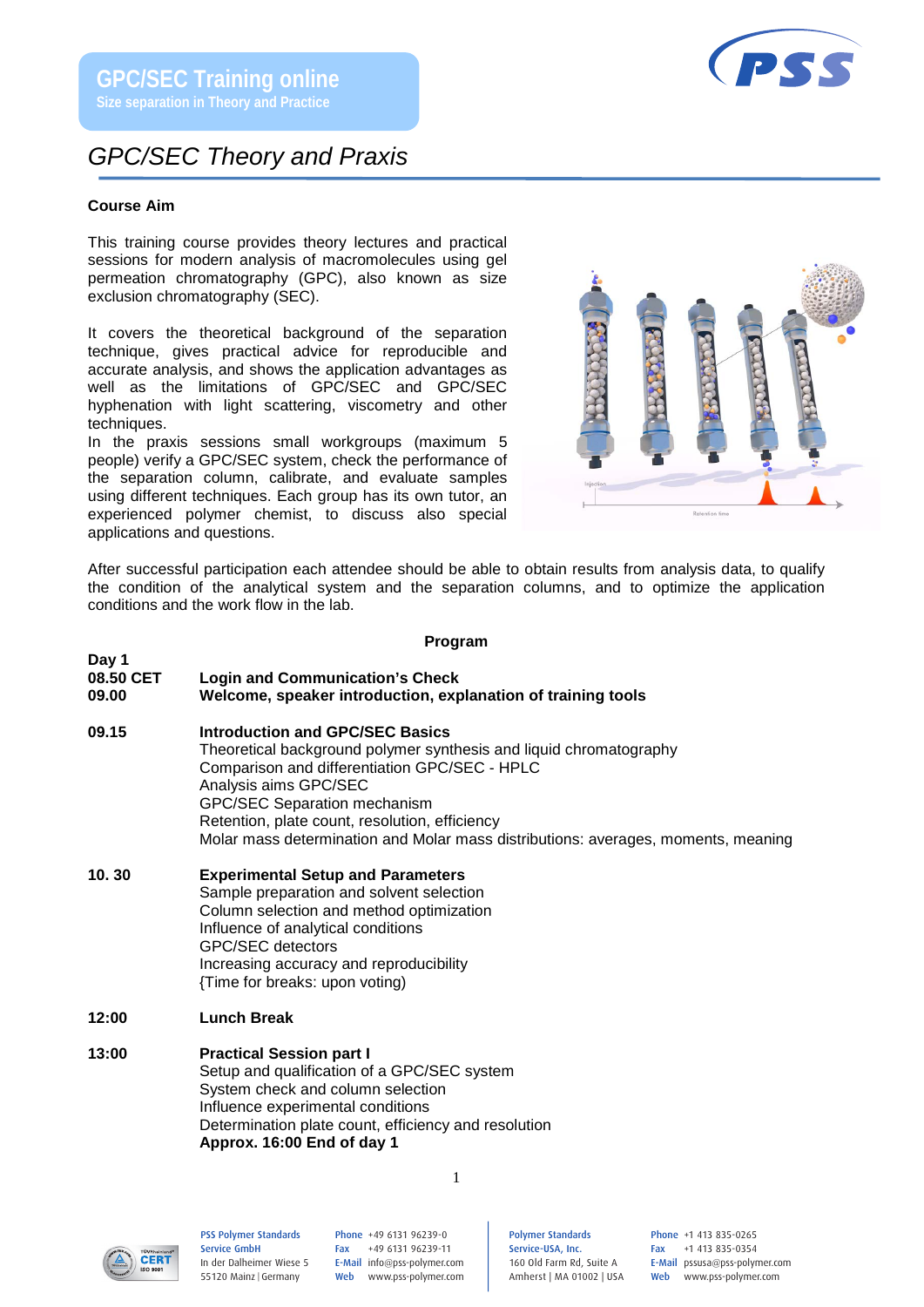## *GPC/SEC Theory and Praxis*

#### **Course Aim**

This training course provides theory lectures and practical sessions for modern analysis of macromolecules using gel permeation chromatography (GPC), also known as size exclusion chromatography (SEC).

It covers the theoretical background of the separation technique, gives practical advice for reproducible and accurate analysis, and shows the application advantages as well as the limitations of GPC/SEC and GPC/SEC hyphenation with light scattering, viscometry and other techniques.

In the praxis sessions small workgroups (maximum 5 people) verify a GPC/SEC system, check the performance of the separation column, calibrate, and evaluate samples using different techniques. Each group has its own tutor, an experienced polymer chemist, to discuss also special applications and questions.



After successful participation each attendee should be able to obtain results from analysis data, to qualify the condition of the analytical system and the separation columns, and to optimize the application conditions and the work flow in the lab.

#### **Program**

**Day 1 Login and Communication's Check** 

#### **09.00 Welcome, speaker introduction, explanation of training tools**

- **09.15 Introduction and GPC/SEC Basics**
	- Theoretical background polymer synthesis and liquid chromatography Comparison and differentiation GPC/SEC - HPLC Analysis aims GPC/SEC GPC/SEC Separation mechanism Retention, plate count, resolution, efficiency Molar mass determination and Molar mass distributions: averages, moments, meaning
- **10. 30 Experimental Setup and Parameters**  Sample preparation and solvent selection Column selection and method optimization Influence of analytical conditions GPC/SEC detectors Increasing accuracy and reproducibility {Time for breaks: upon voting)
- **12:00 Lunch Break**
- **13:00 Practical Session part I** Setup and qualification of a GPC/SEC system System check and column selection Influence experimental conditions Determination plate count, efficiency and resolution **Approx. 16:00 End of day 1**



PSS Polymer Standards Service GmbH In der Dalheimer Wiese 5 55120 Mainz |Germany

Phone +49 6131 96239-0 Fax +49 6131 96239-11 E-Mail info@pss-polymer.com Web www.pss-polymer.com Polymer Standards Service-USA, Inc. 160 Old Farm Rd, Suite A Amherst | MA 01002 | USA Phone +1 413 835-0265 Fax +1 413 835-0354 E-Mail pssusa@pss-polymer.com Web www.pss-polymer.com



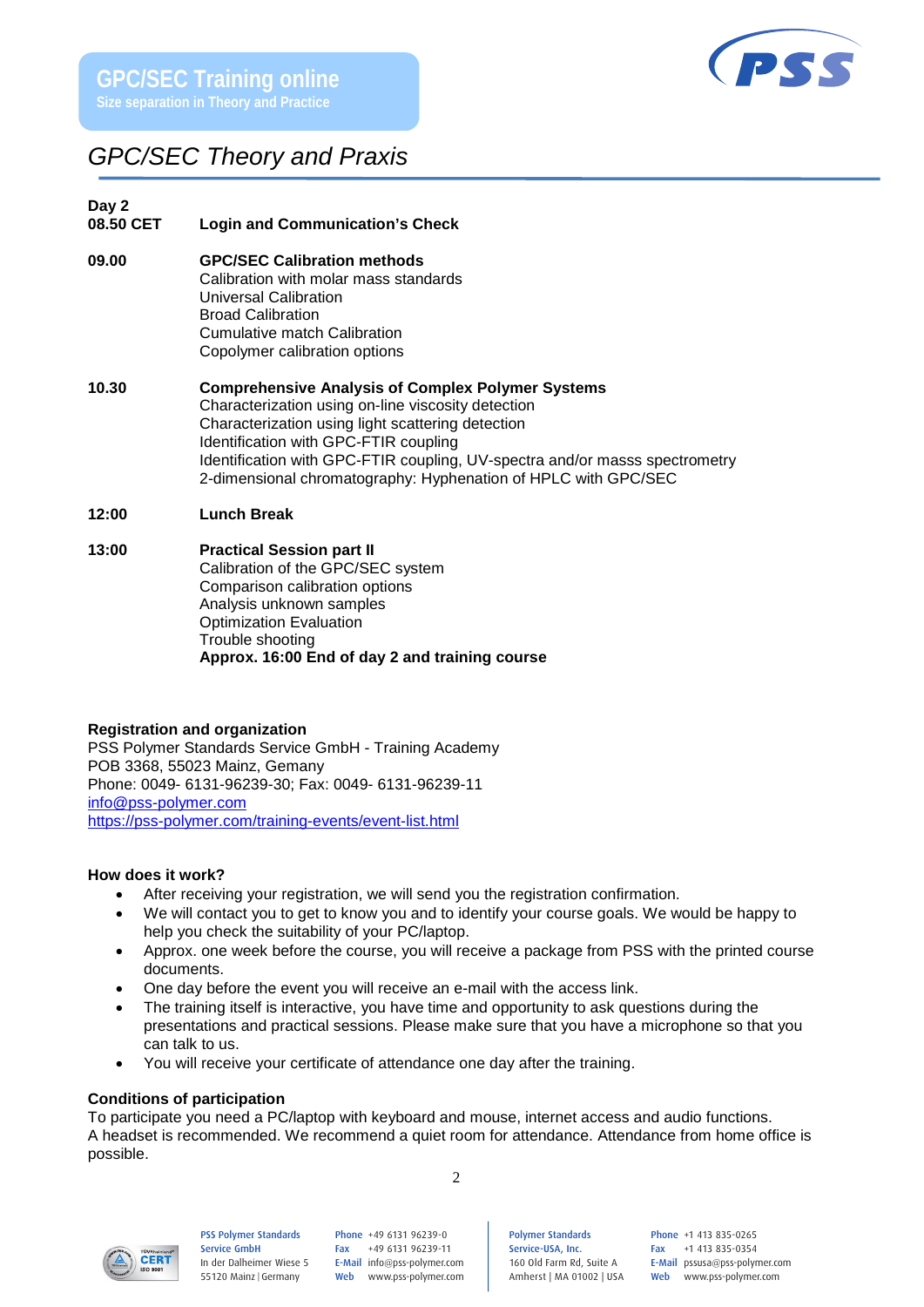

# *GPC/SEC Theory and Praxis*

# **Day 2**

### **Login and Communication's Check**

- **09.00 GPC/SEC Calibration methods**  Calibration with molar mass standards Universal Calibration Broad Calibration Cumulative match Calibration Copolymer calibration options
- **10.30 Comprehensive Analysis of Complex Polymer Systems** Characterization using on-line viscosity detection Characterization using light scattering detection Identification with GPC-FTIR coupling Identification with GPC-FTIR coupling, UV-spectra and/or masss spectrometry 2-dimensional chromatography: Hyphenation of HPLC with GPC/SEC
- **12:00 Lunch Break**

#### **13:00 Practical Session part II**

Calibration of the GPC/SEC system Comparison calibration options Analysis unknown samples Optimization Evaluation Trouble shooting **Approx. 16:00 End of day 2 and training course**

#### **Registration and organization**

PSS Polymer Standards Service GmbH - Training Academy POB 3368, 55023 Mainz, Gemany Phone: 0049- 6131-96239-30; Fax: 0049- 6131-96239-11 [info@pss-polymer.com](mailto:info@pss-polymer.com) <https://pss-polymer.com/training-events/event-list.html>

# **How does it work?**<br>• After receivi

- After receiving your registration, we will send you the registration confirmation.
- We will contact you to get to know you and to identify your course goals. We would be happy to help you check the suitability of your PC/laptop.
- Approx. one week before the course, you will receive a package from PSS with the printed course documents.
- One day before the event you will receive an e-mail with the access link.
- The training itself is interactive, you have time and opportunity to ask questions during the presentations and practical sessions. Please make sure that you have a microphone so that you can talk to us.
- You will receive your certificate of attendance one day after the training.

#### **Conditions of participation**

To participate you need a PC/laptop with keyboard and mouse, internet access and audio functions. A headset is recommended. We recommend a quiet room for attendance. Attendance from home office is possible.

2



#### PSS Polymer Standards Service GmbH In der Dalheimer Wiese 5 55120 Mainz |Germany

Phone +49 6131 96239-0 Fax +49 6131 96239-11 E-Mail info@pss-polymer.com Web www.pss-polymer.com Polymer Standards Service-USA, Inc. 160 Old Farm Rd, Suite A Amherst | MA 01002 | USA

Phone +1 413 835-0265 Fax +1 413 835-0354 E-Mail pssusa@pss-polymer.com Web www.pss-polymer.com